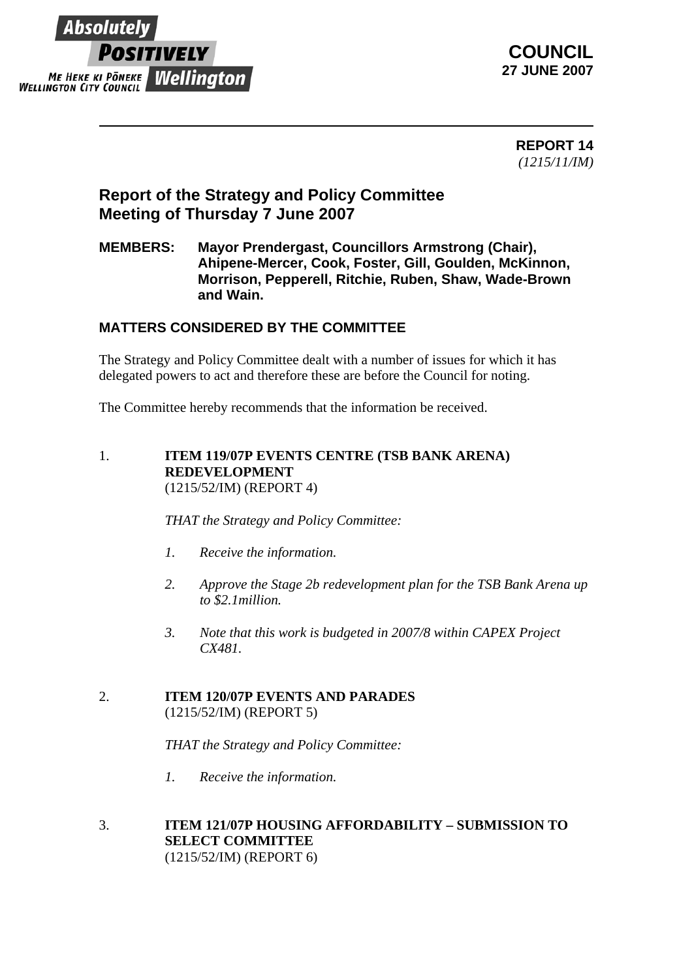



 **REPORT 14** *(1215/11/IM)*

# **Report of the Strategy and Policy Committee Meeting of Thursday 7 June 2007**

### **MEMBERS: Mayor Prendergast, Councillors Armstrong (Chair), Ahipene-Mercer, Cook, Foster, Gill, Goulden, McKinnon, Morrison, Pepperell, Ritchie, Ruben, Shaw, Wade-Brown and Wain.**

## **MATTERS CONSIDERED BY THE COMMITTEE**

The Strategy and Policy Committee dealt with a number of issues for which it has delegated powers to act and therefore these are before the Council for noting.

The Committee hereby recommends that the information be received.

#### 1. **ITEM 119/07P EVENTS CENTRE (TSB BANK ARENA) REDEVELOPMENT**  (1215/52/IM) (REPORT 4)

*THAT the Strategy and Policy Committee:*

- *1. Receive the information.*
- *2. Approve the Stage 2b redevelopment plan for the TSB Bank Arena up to \$2.1million.*
- *3. Note that this work is budgeted in 2007/8 within CAPEX Project CX481.*

#### 2. **ITEM 120/07P EVENTS AND PARADES** (1215/52/IM) (REPORT 5)

*THAT the Strategy and Policy Committee:*

*1. Receive the information.*

#### 3. **ITEM 121/07P HOUSING AFFORDABILITY – SUBMISSION TO SELECT COMMITTEE** (1215/52/IM) (REPORT 6)